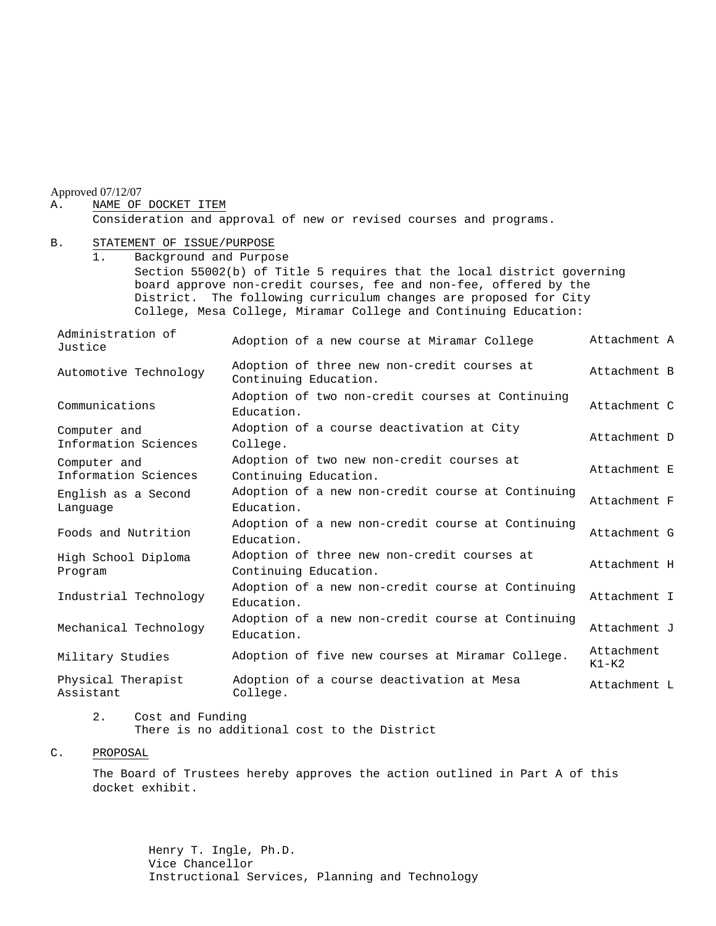Approved 07/12/07

### A. NAME OF DOCKET ITEM

Consideration and approval of new or revised courses and programs.

#### B. STATEMENT OF ISSUE/PURPOSE

1. Background and Purpose Section 55002(b) of Title 5 requires that the local district governing board approve non-credit courses, fee and non-fee, offered by the District. The following curriculum changes are proposed for City College, Mesa College, Miramar College and Continuing Education:

| Administration of<br>Justice         | Adoption of a new course at Miramar College                          | Attachment A          |
|--------------------------------------|----------------------------------------------------------------------|-----------------------|
| Automotive Technology                | Adoption of three new non-credit courses at<br>Continuing Education. | Attachment B          |
| Communications                       | Adoption of two non-credit courses at Continuing<br>Education.       | Attachment C          |
| Computer and<br>Information Sciences | Adoption of a course deactivation at City<br>College.                | Attachment D          |
| Computer and<br>Information Sciences | Adoption of two new non-credit courses at<br>Continuing Education.   | Attachment E          |
| English as a Second<br>Language      | Adoption of a new non-credit course at Continuing<br>Education.      | Attachment F          |
| Foods and Nutrition                  | Adoption of a new non-credit course at Continuing<br>Education.      | Attachment G          |
| High School Diploma<br>Program       | Adoption of three new non-credit courses at<br>Continuing Education. | Attachment H          |
| Industrial Technology                | Adoption of a new non-credit course at Continuing<br>Education.      | Attachment I          |
| Mechanical Technology                | Adoption of a new non-credit course at Continuing<br>Education.      | Attachment J          |
| Military Studies                     | Adoption of five new courses at Miramar College.                     | Attachment<br>$K1-K2$ |
| Physical Therapist<br>Assistant      | Adoption of a course deactivation at Mesa<br>College.                | Attachment L          |

2. Cost and Funding There is no additional cost to the District

## C. PROPOSAL

The Board of Trustees hereby approves the action outlined in Part A of this docket exhibit.

> Henry T. Ingle, Ph.D. Vice Chancellor Instructional Services, Planning and Technology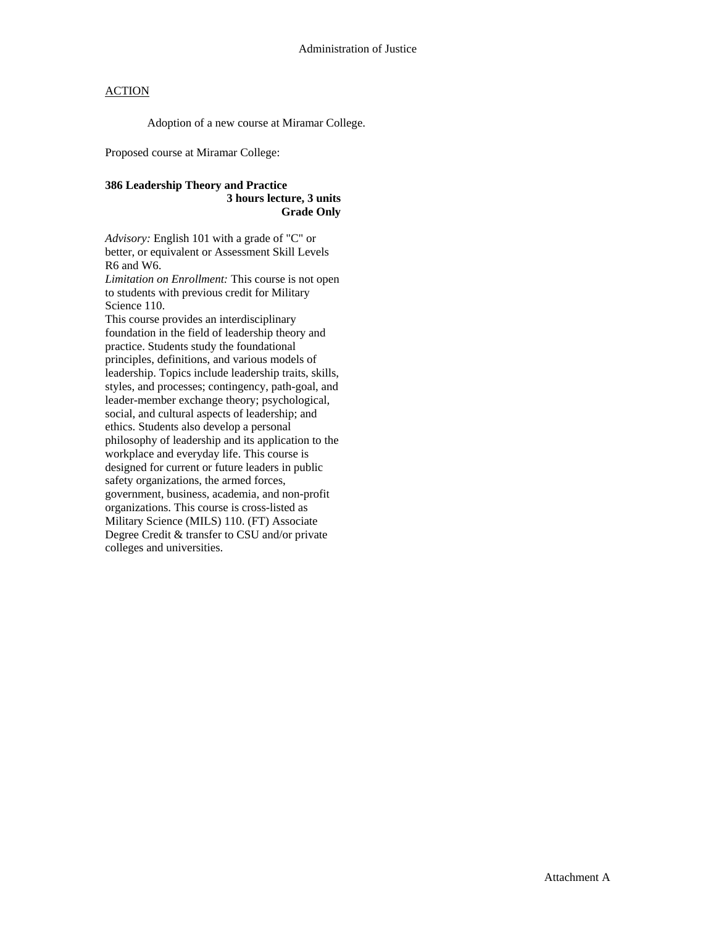Adoption of a new course at Miramar College.

Proposed course at Miramar College:

## **386 Leadership Theory and Practice 3 hours lecture, 3 units Grade Only**

*Advisory:* English 101 with a grade of "C" or better, or equivalent or Assessment Skill Levels R6 and W6.

*Limitation on Enrollment:* This course is not open to students with previous credit for Military Science 110.

This course provides an interdisciplinary foundation in the field of leadership theory and practice. Students study the foundational principles, definitions, and various models of leadership. Topics include leadership traits, skills, styles, and processes; contingency, path-goal, and leader-member exchange theory; psychological, social, and cultural aspects of leadership; and ethics. Students also develop a personal philosophy of leadership and its application to the workplace and everyday life. This course is designed for current or future leaders in public safety organizations, the armed forces, government, business, academia, and non-profit organizations. This course is cross-listed as Military Science (MILS) 110. (FT) Associate Degree Credit & transfer to CSU and/or private colleges and universities.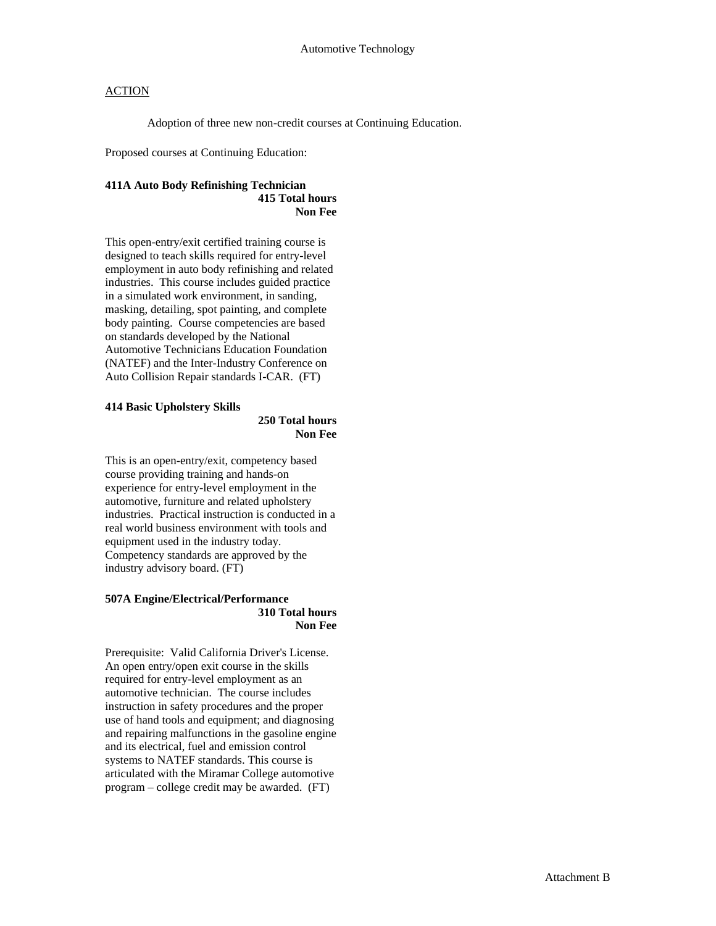Adoption of three new non-credit courses at Continuing Education.

Proposed courses at Continuing Education:

## **411A Auto Body Refinishing Technician 415 Total hours Non Fee**

This open-entry/exit certified training course is designed to teach skills required for entry-level employment in auto body refinishing and related industries. This course includes guided practice in a simulated work environment, in sanding, masking, detailing, spot painting, and complete body painting. Course competencies are based on standards developed by the National Automotive Technicians Education Foundation (NATEF) and the Inter-Industry Conference on Auto Collision Repair standards I-CAR. (FT)

### **414 Basic Upholstery Skills**

### **250 Total hours Non Fee**

This is an open-entry/exit, competency based course providing training and hands-on experience for entry-level employment in the automotive, furniture and related upholstery industries. Practical instruction is conducted in a real world business environment with tools and equipment used in the industry today. Competency standards are approved by the industry advisory board. (FT)

#### **507A Engine/Electrical/Performance 310 Total hours Non Fee**

Prerequisite: Valid California Driver's License. An open entry/open exit course in the skills required for entry-level employment as an automotive technician. The course includes instruction in safety procedures and the proper use of hand tools and equipment; and diagnosing and repairing malfunctions in the gasoline engine and its electrical, fuel and emission control systems to NATEF standards. This course is articulated with the Miramar College automotive program – college credit may be awarded. (FT)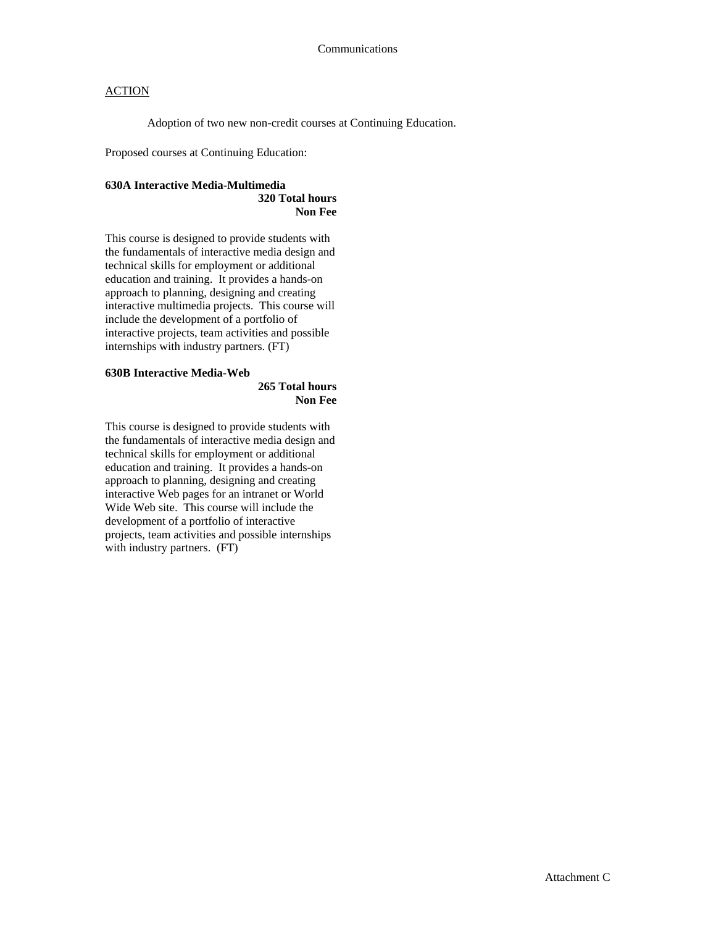Adoption of two new non-credit courses at Continuing Education.

Proposed courses at Continuing Education:

## **630A Interactive Media-Multimedia 320 Total hours Non Fee**

This course is designed to provide students with the fundamentals of interactive media design and technical skills for employment or additional education and training. It provides a hands-on approach to planning, designing and creating interactive multimedia projects. This course will include the development of a portfolio of interactive projects, team activities and possible internships with industry partners. (FT)

#### **630B Interactive Media-Web**

**265 Total hours Non Fee** 

This course is designed to provide students with the fundamentals of interactive media design and technical skills for employment or additional education and training. It provides a hands-on approach to planning, designing and creating interactive Web pages for an intranet or World Wide Web site. This course will include the development of a portfolio of interactive projects, team activities and possible internships with industry partners. (FT)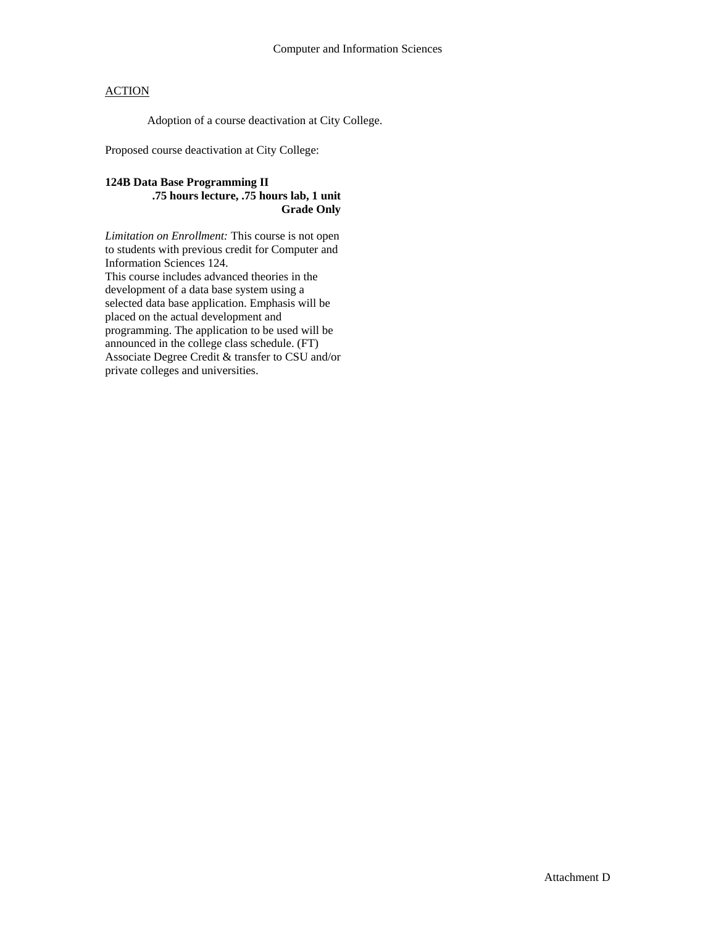Adoption of a course deactivation at City College.

Proposed course deactivation at City College:

## **124B Data Base Programming II .75 hours lecture, .75 hours lab, 1 unit Grade Only**

*Limitation on Enrollment:* This course is not open to students with previous credit for Computer and Information Sciences 124. This course includes advanced theories in the development of a data base system using a selected data base application. Emphasis will be placed on the actual development and programming. The application to be used will be announced in the college class schedule. (FT) Associate Degree Credit & transfer to CSU and/or private colleges and universities.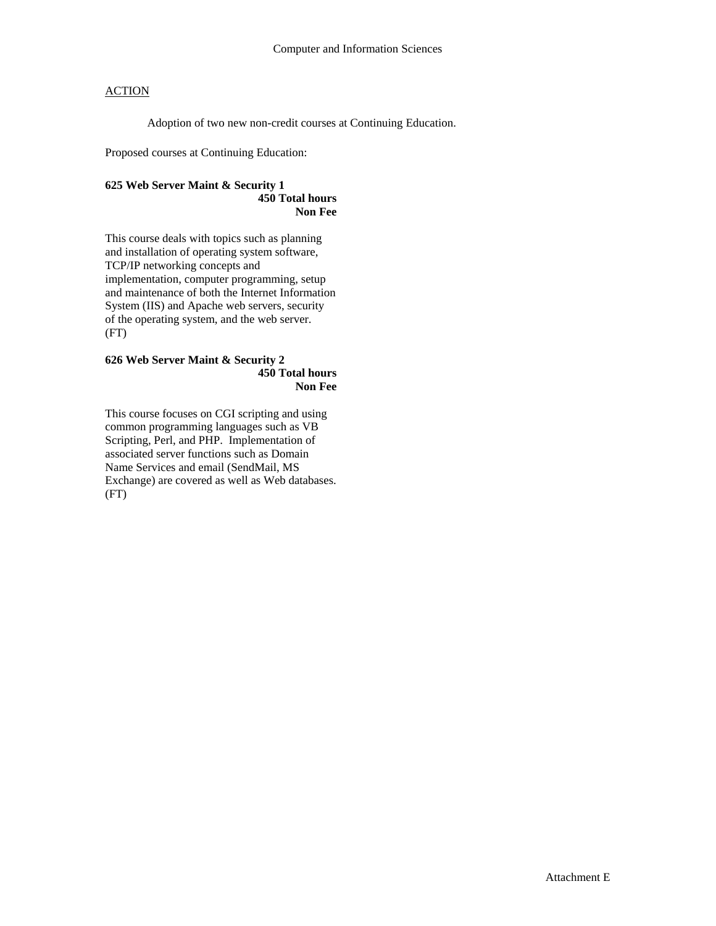Adoption of two new non-credit courses at Continuing Education.

Proposed courses at Continuing Education:

## **625 Web Server Maint & Security 1 450 Total hours Non Fee**

This course deals with topics such as planning and installation of operating system software, TCP/IP networking concepts and implementation, computer programming, setup and maintenance of both the Internet Information System (IIS) and Apache web servers, security of the operating system, and the web server. (FT)

### **626 Web Server Maint & Security 2 450 Total hours Non Fee**

This course focuses on CGI scripting and using common programming languages such as VB Scripting, Perl, and PHP. Implementation of associated server functions such as Domain Name Services and email (SendMail, MS Exchange) are covered as well as Web databases. (FT)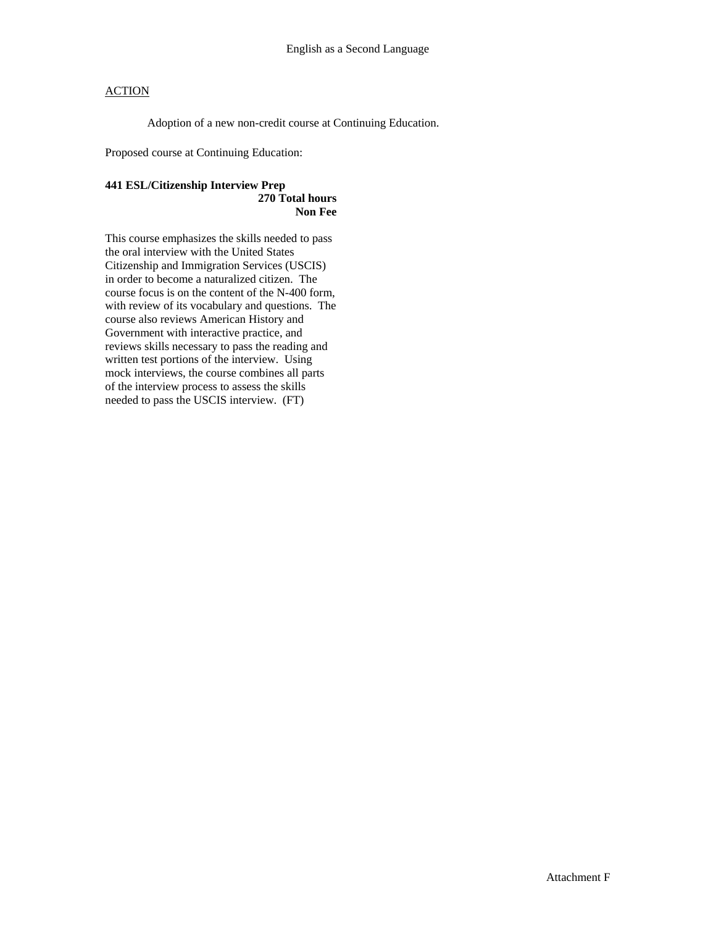Adoption of a new non-credit course at Continuing Education.

Proposed course at Continuing Education:

### **441 ESL/Citizenship Interview Prep 270 Total hours Non Fee**

This course emphasizes the skills needed to pass the oral interview with the United States Citizenship and Immigration Services (USCIS) in order to become a naturalized citizen. The course focus is on the content of the N-400 form, with review of its vocabulary and questions. The course also reviews American History and Government with interactive practice, and reviews skills necessary to pass the reading and written test portions of the interview. Using mock interviews, the course combines all parts of the interview process to assess the skills needed to pass the USCIS interview. (FT)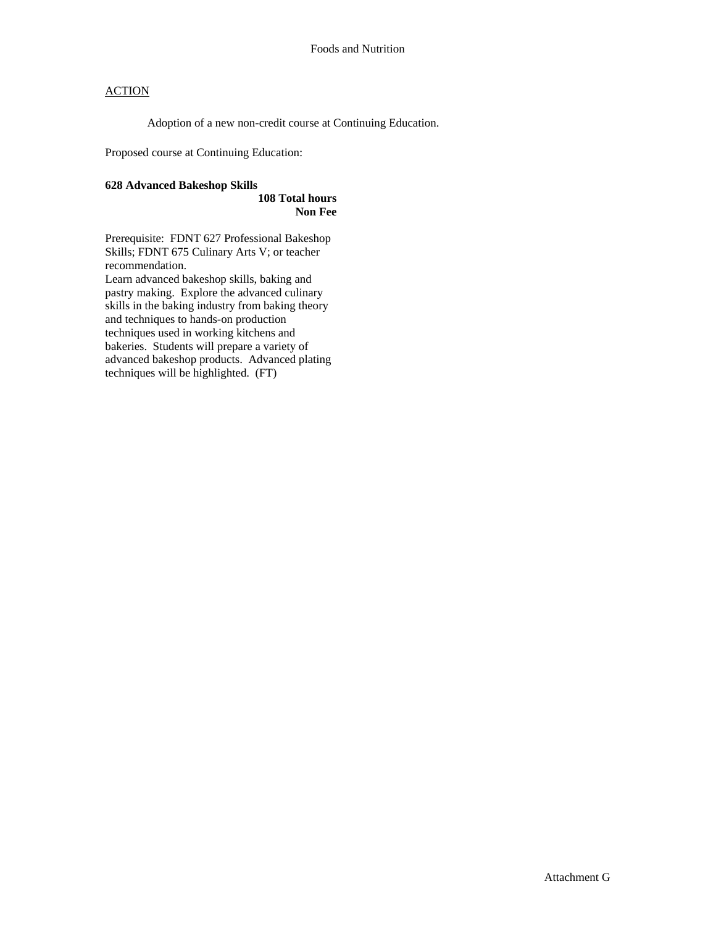Adoption of a new non-credit course at Continuing Education.

Proposed course at Continuing Education:

#### **628 Advanced Bakeshop Skills**

**108 Total hours Non Fee** 

Prerequisite: FDNT 627 Professional Bakeshop Skills; FDNT 675 Culinary Arts V; or teacher recommendation. Learn advanced bakeshop skills, baking and pastry making. Explore the advanced culinary skills in the baking industry from baking theory and techniques to hands-on production techniques used in working kitchens and bakeries. Students will prepare a variety of advanced bakeshop products. Advanced plating techniques will be highlighted. (FT)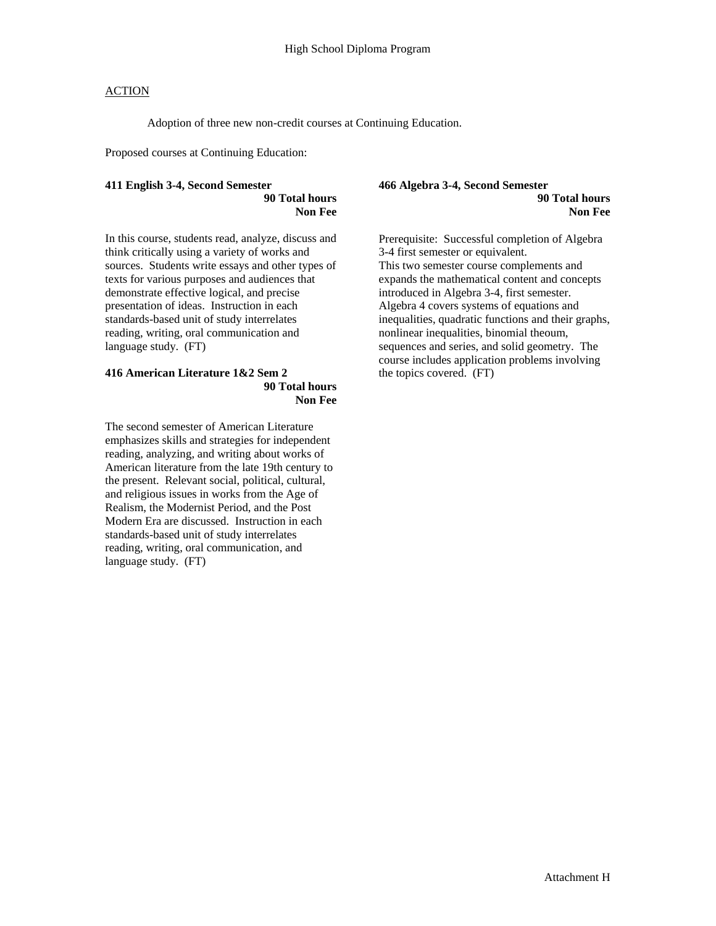Adoption of three new non-credit courses at Continuing Education.

Proposed courses at Continuing Education:

#### **411 English 3-4, Second Semester**

**90 Total hours Non Fee** 

In this course, students read, analyze, discuss and think critically using a variety of works and sources. Students write essays and other types of texts for various purposes and audiences that demonstrate effective logical, and precise presentation of ideas. Instruction in each standards-based unit of study interrelates reading, writing, oral communication and language study. (FT)

### **416 American Literature 1&2 Sem 2 90 Total hours Non Fee**

The second semester of American Literature emphasizes skills and strategies for independent reading, analyzing, and writing about works of American literature from the late 19th century to the present. Relevant social, political, cultural, and religious issues in works from the Age of Realism, the Modernist Period, and the Post Modern Era are discussed. Instruction in each standards-based unit of study interrelates reading, writing, oral communication, and language study. (FT)

#### **466 Algebra 3-4, Second Semester 90 Total hours Non Fee**

Prerequisite: Successful completion of Algebra 3-4 first semester or equivalent. This two semester course complements and expands the mathematical content and concepts introduced in Algebra 3-4, first semester. Algebra 4 covers systems of equations and inequalities, quadratic functions and their graphs, nonlinear inequalities, binomial theoum, sequences and series, and solid geometry. The course includes application problems involving the topics covered. (FT)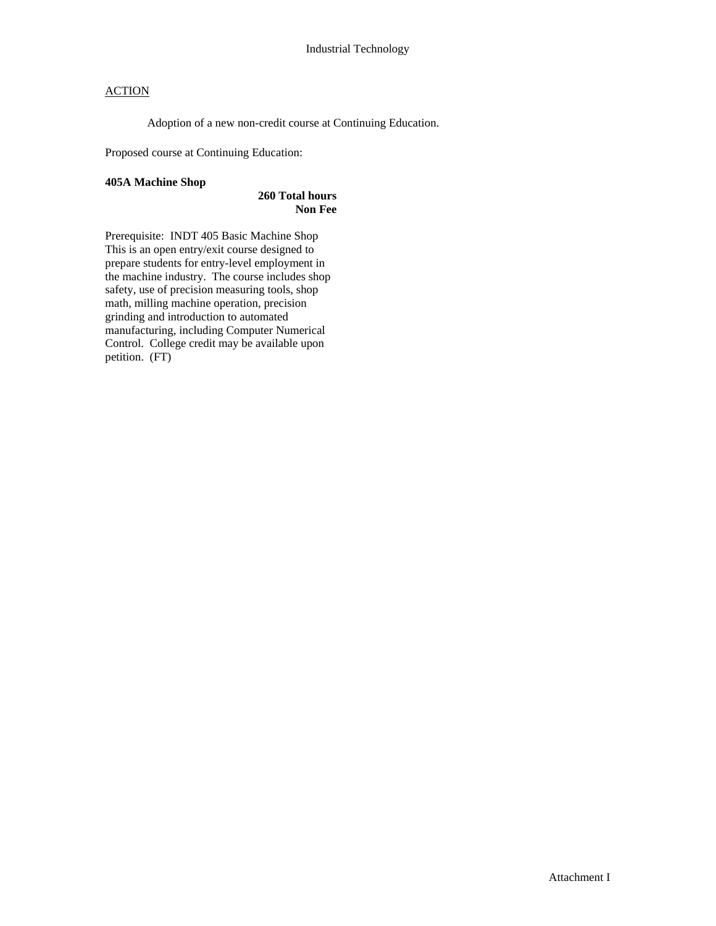Adoption of a new non-credit course at Continuing Education.

Proposed course at Continuing Education:

#### **405A Machine Shop**

## **260 Total hours Non Fee**

Prerequisite: INDT 405 Basic Machine Shop This is an open entry/exit course designed to prepare students for entry-level employment in the machine industry. The course includes shop safety, use of precision measuring tools, shop math, milling machine operation, precision grinding and introduction to automated manufacturing, including Computer Numerical Control. College credit may be available upon petition. (FT)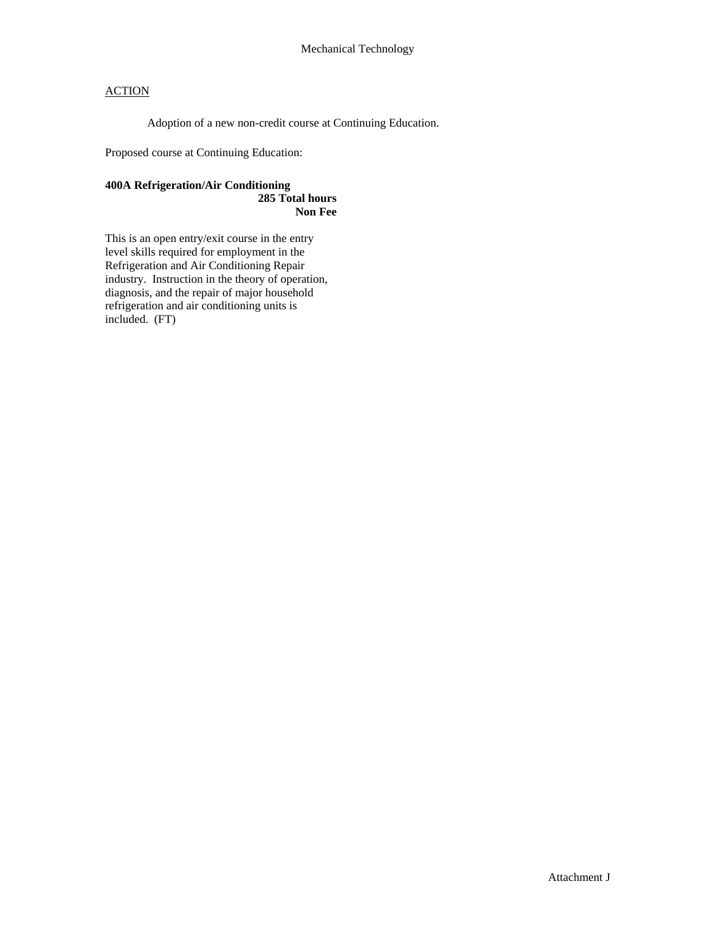Adoption of a new non-credit course at Continuing Education.

Proposed course at Continuing Education:

## **400A Refrigeration/Air Conditioning 285 Total hours Non Fee**

This is an open entry/exit course in the entry level skills required for employment in the Refrigeration and Air Conditioning Repair industry. Instruction in the theory of operation, diagnosis, and the repair of major household refrigeration and air conditioning units is included. (FT)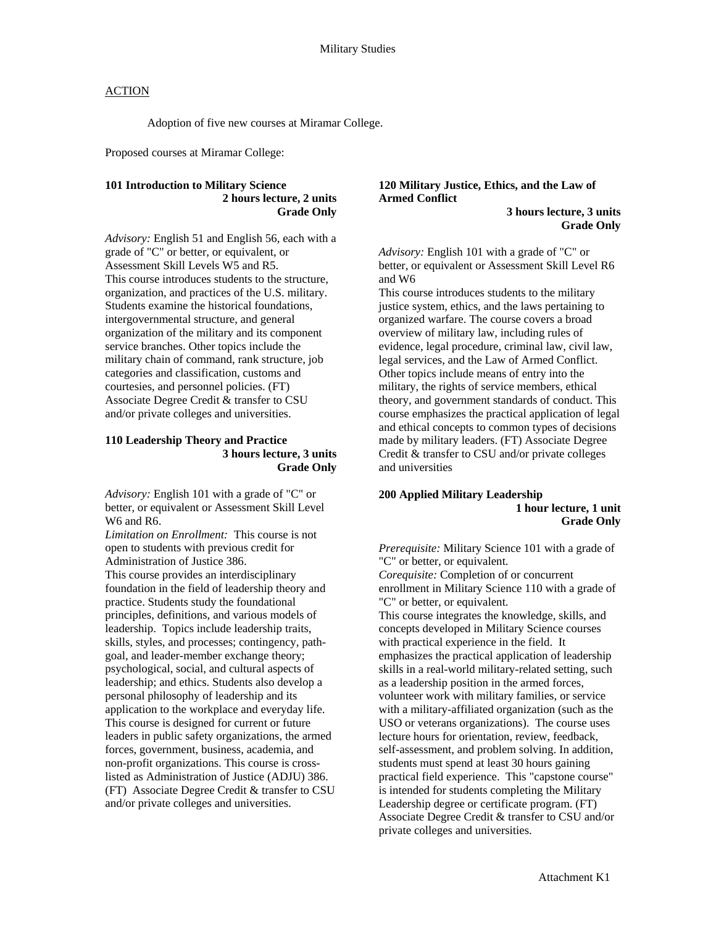Adoption of five new courses at Miramar College.

Proposed courses at Miramar College:

## **101 Introduction to Military Science 2 hours lecture, 2 units Grade Only**

*Advisory:* English 51 and English 56, each with a grade of "C" or better, or equivalent, or Assessment Skill Levels W5 and R5. This course introduces students to the structure, organization, and practices of the U.S. military. Students examine the historical foundations, intergovernmental structure, and general organization of the military and its component service branches. Other topics include the military chain of command, rank structure, job categories and classification, customs and courtesies, and personnel policies. (FT) Associate Degree Credit & transfer to CSU and/or private colleges and universities.

#### **110 Leadership Theory and Practice 3 hours lecture, 3 units Grade Only**

*Advisory:* English 101 with a grade of "C" or better, or equivalent or Assessment Skill Level W6 and R6.

*Limitation on Enrollment:* This course is not open to students with previous credit for Administration of Justice 386.

This course provides an interdisciplinary foundation in the field of leadership theory and practice. Students study the foundational principles, definitions, and various models of leadership. Topics include leadership traits, skills, styles, and processes; contingency, pathgoal, and leader-member exchange theory; psychological, social, and cultural aspects of leadership; and ethics. Students also develop a personal philosophy of leadership and its application to the workplace and everyday life. This course is designed for current or future leaders in public safety organizations, the armed forces, government, business, academia, and non-profit organizations. This course is crosslisted as Administration of Justice (ADJU) 386. (FT) Associate Degree Credit & transfer to CSU and/or private colleges and universities.

## **120 Military Justice, Ethics, and the Law of Armed Conflict**

 **3 hours lecture, 3 units Grade Only** 

*Advisory:* English 101 with a grade of "C" or better, or equivalent or Assessment Skill Level R6 and W6

This course introduces students to the military justice system, ethics, and the laws pertaining to organized warfare. The course covers a broad overview of military law, including rules of evidence, legal procedure, criminal law, civil law, legal services, and the Law of Armed Conflict. Other topics include means of entry into the military, the rights of service members, ethical theory, and government standards of conduct. This course emphasizes the practical application of legal and ethical concepts to common types of decisions made by military leaders. (FT) Associate Degree Credit & transfer to CSU and/or private colleges and universities

### **200 Applied Military Leadership 1 hour lecture, 1 unit Grade Only**

*Prerequisite:* Military Science 101 with a grade of "C" or better, or equivalent.

*Corequisite:* Completion of or concurrent enrollment in Military Science 110 with a grade of "C" or better, or equivalent.

This course integrates the knowledge, skills, and concepts developed in Military Science courses with practical experience in the field. It emphasizes the practical application of leadership skills in a real-world military-related setting, such as a leadership position in the armed forces, volunteer work with military families, or service with a military-affiliated organization (such as the USO or veterans organizations). The course uses lecture hours for orientation, review, feedback, self-assessment, and problem solving. In addition, students must spend at least 30 hours gaining practical field experience. This "capstone course" is intended for students completing the Military Leadership degree or certificate program. (FT) Associate Degree Credit & transfer to CSU and/or private colleges and universities.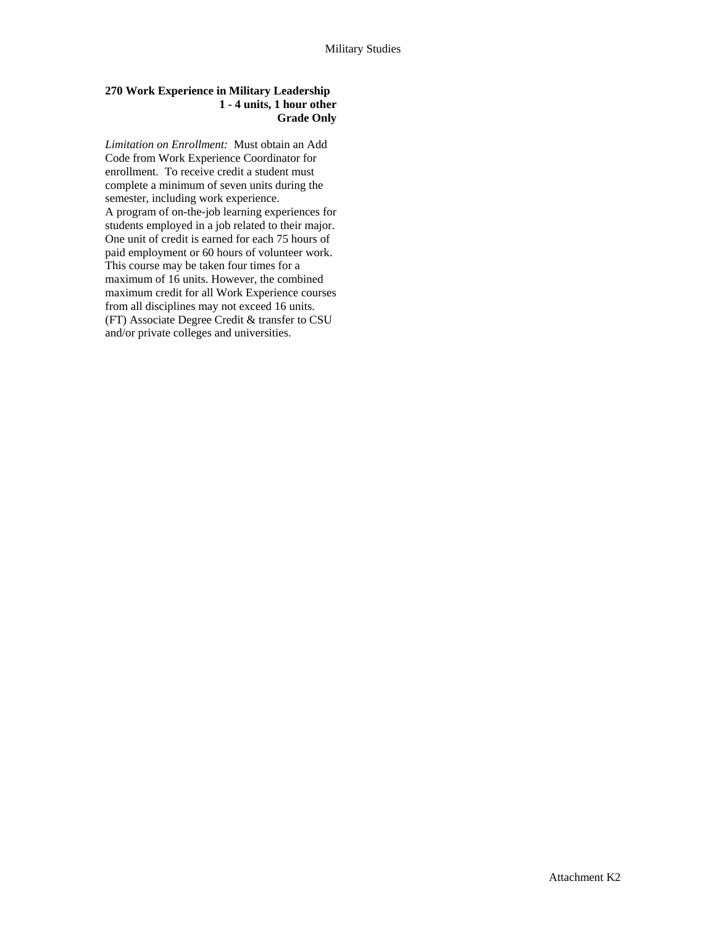## **270 Work Experience in Military Leadership 1 - 4 units, 1 hour other Grade Only**

*Limitation on Enrollment:* Must obtain an Add Code from Work Experience Coordinator for enrollment. To receive credit a student must complete a minimum of seven units during the semester, including work experience. A program of on-the-job learning experiences for students employed in a job related to their major. One unit of credit is earned for each 75 hours of paid employment or 60 hours of volunteer work. This course may be taken four times for a maximum of 16 units. However, the combined maximum credit for all Work Experience courses from all disciplines may not exceed 16 units. (FT) Associate Degree Credit & transfer to CSU and/or private colleges and universities.